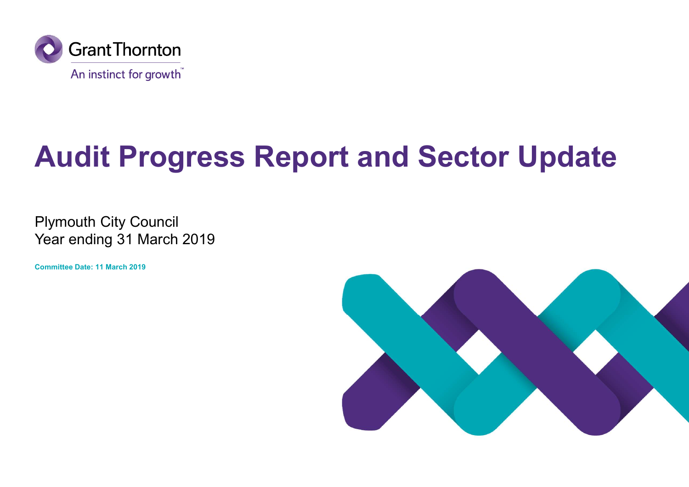

# Audit Progress Report and Sector Update

Plymouth City Council Year ending 31 March 2019

Committee Date: 11 March 2019

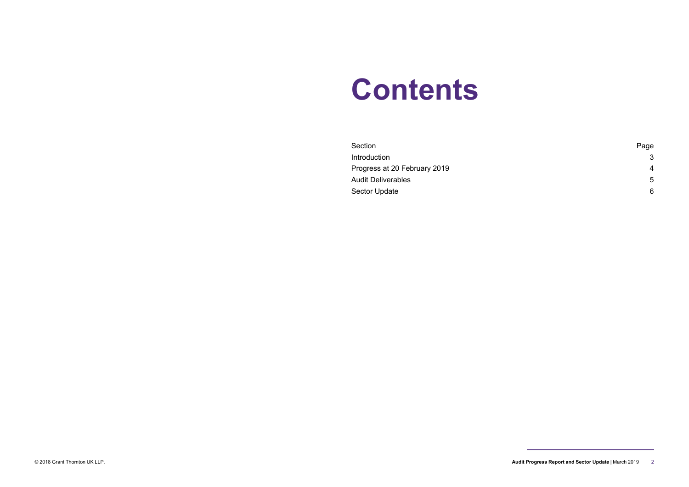# **Contents**

| <b>Contents</b>                              |                  |
|----------------------------------------------|------------------|
| Section                                      | Page             |
| Introduction<br>Progress at 20 February 2019 | 3                |
|                                              | 4<br>$\,$ 5 $\,$ |
| Audit Deliverables                           |                  |

<sup>© 2018</sup> Grant Thornton UK LLP. **Audit Progress Report and Sector Update** | March 2019 2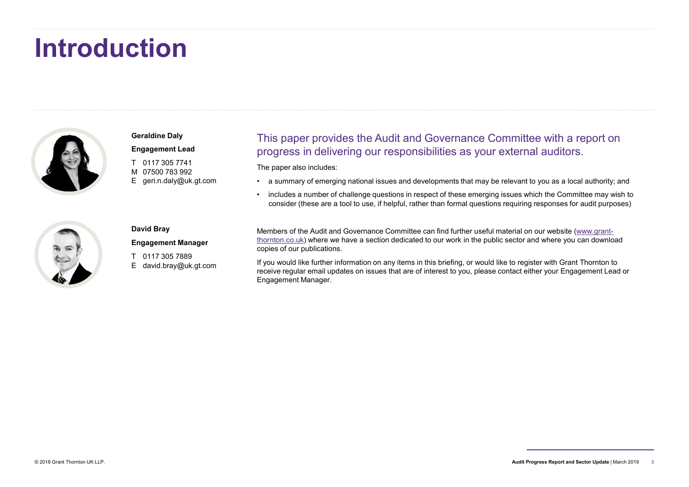# Introduction



# This paper provides the Audit and Governance Committee with a report on Geraldine Daly progress in delivering our responsibilities as your external auditors. Engagement Lead This paper provides the Audit and Governance Committee with a report on<br>progress in delivering our responsibilities as your external auditors.<br>
The paper also includes:<br>
• a summary of emerging national issues and develo Fhis paper provides the Audit and Governance Committee with a report on<br>progress in delivering our responsibilities as your external auditors.<br>The paper also includes:<br>• a summary of emerging national issues and developmen Comparement Lead<br>
This paper provides the Audit and<br>
Figure 20117 305 7741<br>
This paper provides the Audit and<br>
The paper also includes:<br>
The paper also includes:<br>
The paper also includes:<br>
The paper also includes:<br>
The pap COM<br>
Geraldine Daly<br>
Engagement Lead<br>
T 0117 305 7741<br>
M 07500 783 992<br>
E geri.n.daly@uk.gt.com<br>
M 07500 783 992<br>
The paper also includes:<br>
A summary of emerging national issues and<br>
includes a number of challenge question Constant Lead<br>
Figure 2.17 305 7741<br>
E geri.n.daly@uk.gt.com<br>
T 0117 305 7741<br>
E geri.n.daly@uk.gt.com<br>
C a summary of emerging national issues and<br>
C a summary of emerging national issues and<br>
C a number of challenge ques

The paper also includes:

- 
- consider (these are a tool to use, if helpful, rather than formal questions requiring responses for audit purposes)



# David Bray Engagement Manager

Members of the Audit and Governance Committee can find further useful material on our website (www.grantthornton.co.uk) where we have a section dedicated to our work in the public sector and where you can download copies of our publications.

If you would like further information on any items in this briefing, or would like to register with Grant Thornton to receive regular email updates on issues that are of interest to you, please contact either your Engagement Lead or Engagement Manager. Goraldine Daly<br>
This paper provides the Audit at<br>
This paper provides the Audit at<br>
The paper also includes:<br>
The paper also includes:<br>
M 017500 783 992<br>
E geri.n.daly@uk.gt.com<br> **CORPERENT CORPERENT CORPERENT CORPERENT CO** Geraldine Daly<br>
Engagement Lead<br>
T 0117 305 7741<br>
M 07500 783 992<br>
E geri.n.daly@uk.gt.com<br>
A more also includes:<br>
C a summary of emerging national issues and develocing<br>
C a summary of emerging national issues and develoc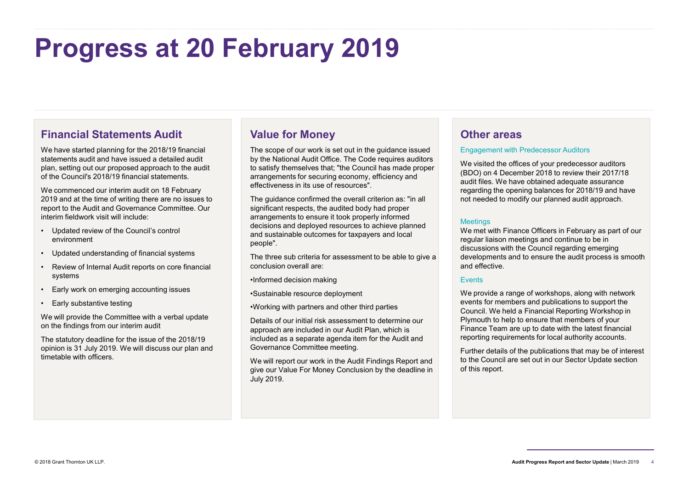# Progress at 20 February 2019 **Financial Statements Audit**<br>
Financial Statements Audit<br>
Walue for Mor<br>
He have started planning for the 2018/19 financial<br>
statements audit and have issued a detailed audit<br>
by the National Audit<br>
Den , setting out our p **Financial Statements Audit**<br>
We have started planning for the 2018/19 financial<br>
Statements and the competed and the proposed approach to the audit<br>
plan, setting out our proposed approach to the audit<br>
plan, setting out

# Financial Statements Audit

We have started planning for the 2018/19 financial statements audit and have issued a detailed audit plan, setting out our proposed approach to the audit of the Council's 2018/19 financial statements.

We commenced our interim audit on 18 February 2019 and at the time of writing there are no issues to report to the Audit and Governance Committee. Our interim fieldwork visit will include: Financial Statements Audit<br>
We have started planning for the 2018/19 financial<br>
statements and tal and have issued a detailed audit<br>
by the National Audit<br>
by the National Audit<br>
Delay access in the Section Statement and t Financial Statements Audit<br>
Walue for Mor<br>
He have started planning for the 2018/19 financial<br>
statements audit and have issued a detailed audit<br>
plan, setting out our proposed approach to the audit<br>
of the Council's 2018/ Financial Statements Audit<br>
Walue for Mor<br>
statements and planning for the 2018/19 financial<br>
statements and tan have issued a detailed audit<br>
by the National Audit<br>
by the National Audit<br>
by the National Audit<br>
by the Nat

- environment
- 
- systems
- 
- 

We will provide the Committee with a verbal update on the findings from our interim audit

The statutory deadline for the issue of the 2018/19 opinion is 31 July 2019. We will discuss our plan and timetable with officers.

# Value for Money

The scope of our work is set out in the guidance issued by the National Audit Office. The Code requires auditors to satisfy themselves that; "the Council has made proper arrangements for securing economy, efficiency and effectiveness in its use of resources".

The guidance confirmed the overall criterion as: "in all significant respects, the audited body had proper arrangements to ensure it took properly informed decisions and deployed resources to achieve planned<br>and proteins black in the set of our contractors and lead. and sustainable outcomes for taxpayers and local people".

The three sub criteria for assessment to be able to give a conclusion overall are:

•Informed decision making

•Sustainable resource deployment

•Working with partners and other third parties

Details of our initial risk assessment to determine our approach are included in our Audit Plan, which is included as a separate agenda item for the Audit and Governance Committee meeting.

We will report our work in the Audit Findings Report and give our Value For Money Conclusion by the deadline in July 2019.

# Other areas

### Engagement with Predecessor Auditors

We visited the offices of your predecessor auditors (BDO) on 4 December 2018 to review their 2017/18 audit files. We have obtained adequate assurance regarding the opening balances for 2018/19 and have not needed to modify our planned audit approach.

### **Meetings**

**Other areas**<br>Engagement with Predecessor Auditors<br>We visited the offices of your predecessor auditors<br>(BDO) on 4 December 2018 to review their 2017/18<br>audit files. We have obtained adequate assurance<br>regarding the opening regular liaison meetings and continue to be in discussions with the Council regarding emerging developments and to ensure the audit process is smooth and effective.

## Events

We provide a range of workshops, along with network events for members and publications to support the Council. We held a Financial Reporting Workshop in Plymouth to help to ensure that members of your Finance Team are up to date with the latest financial reporting requirements for local authority accounts.

Further details of the publications that may be of interest to the Council are set out in our Sector Update section of this report.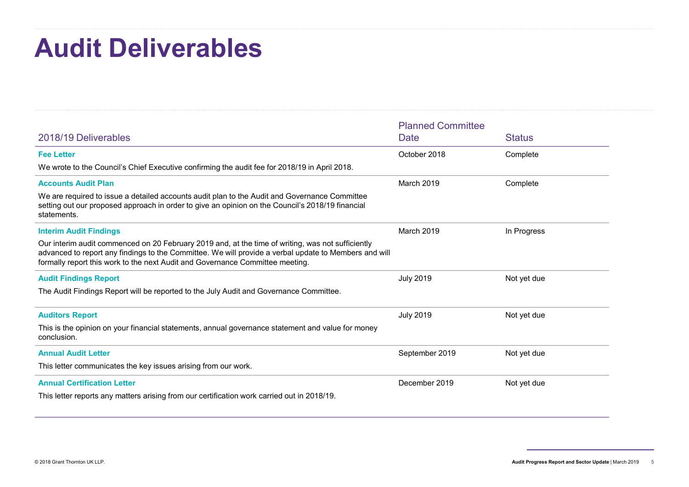# Audit Deliverables

| <b>Audit Deliverables</b>                                                                                                                                                                                                                                                                   |                          |               |
|---------------------------------------------------------------------------------------------------------------------------------------------------------------------------------------------------------------------------------------------------------------------------------------------|--------------------------|---------------|
|                                                                                                                                                                                                                                                                                             |                          |               |
|                                                                                                                                                                                                                                                                                             | <b>Planned Committee</b> |               |
| 2018/19 Deliverables                                                                                                                                                                                                                                                                        | <b>Date</b>              | <b>Status</b> |
| <b>Fee Letter</b>                                                                                                                                                                                                                                                                           | October 2018             | Complete      |
| We wrote to the Council's Chief Executive confirming the audit fee for 2018/19 in April 2018.                                                                                                                                                                                               |                          |               |
| <b>Accounts Audit Plan</b>                                                                                                                                                                                                                                                                  | March 2019               | Complete      |
| We are required to issue a detailed accounts audit plan to the Audit and Governance Committee<br>setting out our proposed approach in order to give an opinion on the Council's 2018/19 financial<br>statements.                                                                            |                          |               |
| <b>Interim Audit Findings</b>                                                                                                                                                                                                                                                               | March 2019               | In Progress   |
| Our interim audit commenced on 20 February 2019 and, at the time of writing, was not sufficiently<br>advanced to report any findings to the Committee. We will provide a verbal update to Members and will<br>formally report this work to the next Audit and Governance Committee meeting. |                          |               |
| <b>Audit Findings Report</b>                                                                                                                                                                                                                                                                | <b>July 2019</b>         | Not yet due   |
| The Audit Findings Report will be reported to the July Audit and Governance Committee.                                                                                                                                                                                                      |                          |               |
| <b>Auditors Report</b>                                                                                                                                                                                                                                                                      | <b>July 2019</b>         | Not yet due   |
| This is the opinion on your financial statements, annual governance statement and value for money<br>conclusion.                                                                                                                                                                            |                          |               |
| <b>Annual Audit Letter</b>                                                                                                                                                                                                                                                                  | September 2019           | Not yet due   |
| This letter communicates the key issues arising from our work.                                                                                                                                                                                                                              |                          |               |
| <b>Annual Certification Letter</b>                                                                                                                                                                                                                                                          | December 2019            | Not yet due   |
| This letter reports any matters arising from our certification work carried out in 2018/19.                                                                                                                                                                                                 |                          |               |

<sup>© 2018</sup> Grant Thornton UK LLP. **Audit Progress Report and Sector Update** | March 2019 5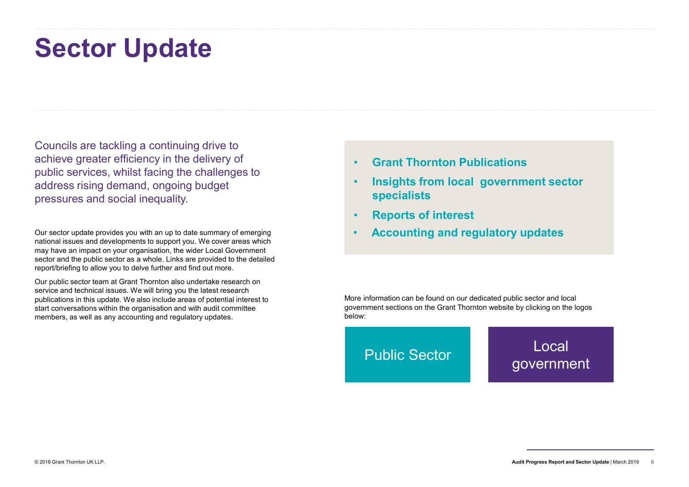# Sector Update

Councils are tackling a continuing drive to achieve greater efficiency in the delivery of public services, whilst facing the challenges to **Sector Update**<br>
Councils are tackling a continuing drive to<br>
achieve greater efficiency in the delivery of<br>
public services, whilst facing the challenges to<br>
address rising demand, ongoing budget<br>
pressures and social ine pressures and social inequality.

Our sector update provides you with an up to date summary of emerging national issues and developments to support you. We cover areas which may have an impact on your organisation, the wider Local Government sector and the public sector as a whole. Links are provided to the detailed report/briefing to allow you to delve further and find out more.

Our public sector team at Grant Thornton also undertake research on service and technical issues. We will bring you the latest research publications in this update. We also include areas of potential interest to start conversations within the organisation and with audit committee members, as well as any accounting and regulatory updates.

- Grant Thornton Publications
- Insights from local government sector specialists
- Reports of interest
- Accounting and regulatory updates

More information can be found on our dedicated public sector and local government sections on the Grant Thornton website by clicking on the logos below:

# Public Sector Local government

<sup>© 2018</sup> Grant Thornton UK LLP. **Audit Progress Report and Sector Update** | March 2019  $\overline{6}$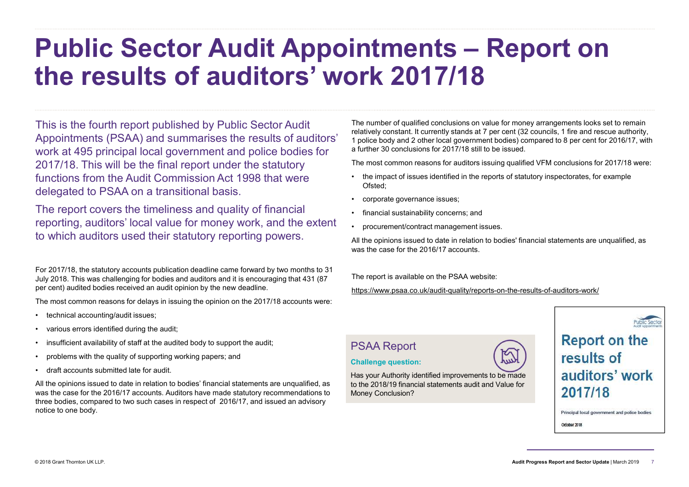# Public Sector Audit Appointments – Report on the results of auditors' work 2017/18 **First and Constrained Scheme Constrained SCHE CONSTRENT CONTROV**<br>
The number of qualified conclusions on value for money arrangements looks set to remain<br>
relatively constant. It currently stands at 7 per cent (32 counci **In the pinion of qualified conclusions on value for money arrangements looks set to reflectively constant. It currently stands at 7 per cent (32 councils, 1 fire and rescue autt poiled by and 2 other local government bodi The number of qualified conclusions on value for money arrangements looks set to remember of qualified conclusions on value for money arrangements looks set to remember of qualified conclusions of a**  $\tau$  **per concerns; an** The number of qualified conclusions on value for money arrangements looks set to relatively constant. It curremly stands at 7 per cent (32 councins) for fire and rescue authorized in the contract metal (3) compared to 8 pe

This is the fourth report published by Public Sector Audit Appointments (PSAA) and summarises the results of auditors' work at 495 principal local government and police bodies for 2017/18. This will be the final report under the statutory functions from the Audit Commission Act 1998 that were **the impact of issues identified in the reports of statutory inspectorates**, for example delegated to PSAA on a transitional basis. This is the fourth report published by Public Sector Audit<br>Appointments (PSAA) and summarises the results of aud<br>work at 495 principal local government and police bodies<br>2017/18. This will be the final report under the sta This is the fourth report published by Public Sector Audit<br>Appointments (PSAA) and summarises the results of aud<br>work at 495 principal local government and police bodies<br>2017/18. This will be the final report under the sta Appointments (PSAA) and summarises the results of auditors'<br>work at 495 principal local government and police bodies for<br>2017/18. This will be the final report under the statutory<br>2017/18. This will be the final report und For 2017/18 . This will be the final report under the statutory<br>
For some the final report under the statutory<br>
for support the final report under the statutory<br>
delegated to PSAA on a transitional basis.<br>
The report cover 2017/18. This will be the final report under the statutory<br>functions from the Audit Commission Act 1998 that were<br>delegated to PSAA on a transitional basis.<br>The report covers the timeliness and quality of financial<br>reporti

The report covers the timeliness and quality of financial **Fig. 1** financial sustainability concerns; and reporting, auditors' local value for money work, and the extent . procurement/contract management issues. to which auditors used their statutory reporting powers.

For 2017/18, the statutory accounts publication deadline came forward by two months to 31 July 2018. This was challenging for bodies and auditors and it is encouraging that 431 (87 per cent) audited bodies received an audit opinion by the new deadline.

The most common reasons for delays in issuing the opinion on the 2017/18 accounts were:

- 
- 
- 
- 
- 

All the opinions issued to date in relation to bodies' financial statements are unqualified, as was the case for the 2016/17 accounts. Auditors have made statutory recommendations to three bodies, compared to two such cases in respect of 2016/17, and issued an advisory notice to one body.

The number of qualified conclusions on value for money arrangements looks set to remain relatively constant. It currently stands at 7 per cent (32 councils, 1 fire and rescue authority, 1 police body and 2 other local government bodies) compared to 8 per cent for 2016/17, with a further 30 conclusions for 2017/18 still to be issued.

The most common reasons for auditors issuing qualified VFM conclusions for 2017/18 were:

- Ofsted;
- 
- 
- 

All the opinions issued to date in relation to bodies' financial statements are unqualified, as was the case for the 2016/17 accounts.

The report is available on the PSAA website:

https://www.psaa.co.uk/audit-quality/reports-on-the-results-of-auditors-work/

# PSAA Report

### Challenge question:

Has your Authority identified improvements to be made **all all diffors' work** to the 2018/19 financial statements audit and Value for<br>Money Conclusion? 2017/18 Money Conclusion?



# **Report on the** results of

Principal local government and police bodies

October 2018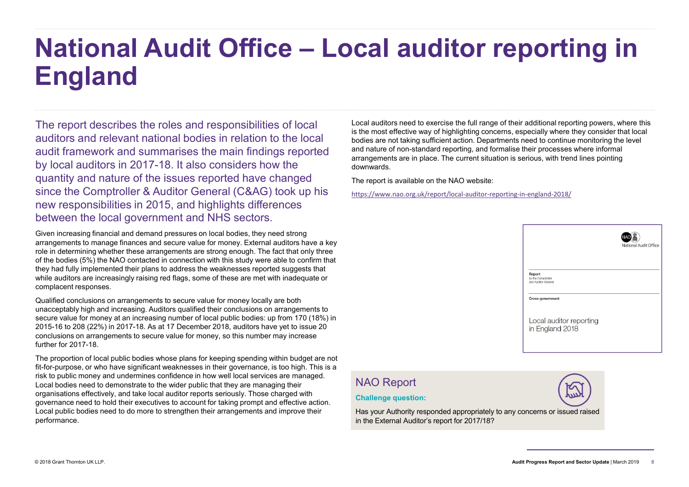# National Audit Office – Local auditor reporting in England

The report describes the roles and responsibilities of local auditors and relevant national bodies in relation to the local audit framework and summarises the main findings reported by local auditors in 2017-18. It also considers how the quantity and nature of the issues reported have changed since the Comptroller & Auditor General (C&AG) took up his new responsibilities in 2015, and highlights differences between the local government and NHS sectors.

Given increasing financial and demand pressures on local bodies, they need strong arrangements to manage finances and secure value for money. External auditors have a key role in determining whether these arrangements are strong enough. The fact that only three of the bodies (5%) the NAO contacted in connection with this study were able to confirm that they had fully implemented their plans to address the weaknesses reported suggests that while auditors are increasingly raising red flags, some of these are met with inadequate or complacent responses.

Qualified conclusions on arrangements to secure value for money locally are both unacceptably high and increasing. Auditors qualified their conclusions on arrangements to secure value for money at an increasing number of local public bodies: up from 170 (18%) in 2015-16 to 208 (22%) in 2017-18. As at 17 December 2018, auditors have yet to issue 20 conclusions on arrangements to secure value for money, so this number may increase further for 2017-18.

The proportion of local public bodies whose plans for keeping spending within budget are not fit-for-purpose, or who have significant weaknesses in their governance, is too high. This is a risk to public money and undermines confidence in how well local services are managed.<br>I ocal bodies need to demonstrate to the wider public that they are managing their **NAO Report** Local bodies need to demonstrate to the wider public that they are managing their organisations effectively, and take local auditor reports seriously. Those charged with governance need to hold their executives to account for taking prompt and effective action. Local public bodies need to do more to strengthen their arrangements and improve their performance.

Local auditors need to exercise the full range of their additional reporting powers, where this is the most effective way of highlighting concerns, especially where they consider that local bodies are not taking sufficient action. Departments need to continue monitoring the level and nature of non-standard reporting, and formalise their processes where informal arrangements are in place. The current situation is serious, with trend lines pointing downwards.

The report is available on the NAO website:

https://www.nao.org.uk/report/local-auditor-reporting-in-england-2018/



### Challenge question:

Thallenge question:<br>
Has your Authority responded appropriately to any concerns or issued raised<br>
in the External Auditor's report for 2017/18?<br>
Audit Progress Report and Sector Update | March 2019 Has your Authority responded appropriately to any concerns or issued raised in the External Auditor's report for 2017/18?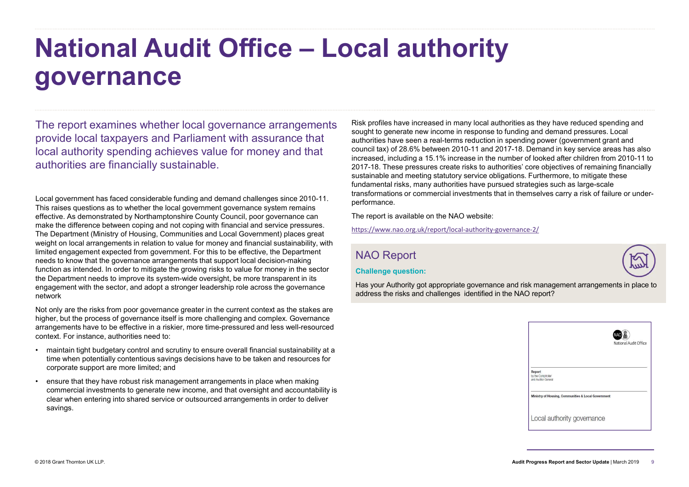# National Audit Office – Local authority governance

The report examines whether local governance arrangements provide local taxpayers and Parliament with assurance that local authority spending achieves value for money and that authorities are financially sustainable.

Local government has faced considerable funding and demand challenges since 2010-11. This raises questions as to whether the local government governance system remains effective. As demonstrated by Northamptonshire County Council, poor governance can make the difference between coping and not coping with financial and service pressures. The Department (Ministry of Housing, Communities and Local Government) places great weight on local arrangements in relation to value for money and financial sustainability, with limited engagement expected from government. For this to be effective, the Department needs to know that the governance arrangements that support local decision-making function as intended. In order to mitigate the growing risks to value for money in the sector the Department needs to improve its system-wide oversight, be more transparent in its engagement with the sector, and adopt a stronger leadership role across the governance network provide local taxpayers and Parliament with assurance that<br>
local authoritivs spending achieves value for money and that<br>
authorities are financially sustainable.<br>
authorities are financially sustainable,<br>
authorities are external control of the control of the control of the state of the control of the control of the control of the control of the control of the control of the control of the control of the control of the control of the cont

Not only are the risks from poor governance greater in the current context as the stakes are higher, but the process of governance itself is more challenging and complex. Governance arrangements have to be effective in a riskier, more time-pressured and less well-resourced context. For instance, authorities need to:

- time when potentially contentious savings decisions have to be taken and resources for corporate support are more limited; and
- commercial investments to generate new income, and that oversight and accountability is clear when entering into shared service or outsourced arrangements in order to deliver savings.

Risk profiles have increased in many local authorities as they have reduced spending and sought to generate new income in response to funding and demand pressures. Local authorities have seen a real-terms reduction in spending power (government grant and council tax) of 28.6% between 2010-11 and 2017-18. Demand in key service areas has also increased, including a 15.1% increase in the number of looked after children from 2010-11 to 2017-18. These pressures create risks to authorities' core objectives of remaining financially sustainable and meeting statutory service obligations. Furthermore, to mitigate these fundamental risks, many authorities have pursued strategies such as large-scale transformations or commercial investments that in themselves carry a risk of failure or underperformance.

The report is available on the NAO website:

https://www.nao.org.uk/report/local-authority-governance-2/

# NAO Report





Has your Authority got appropriate governance and risk management arrangements in place to address the risks and challenges identified in the NAO report?

|                                                     | National Audit Office |  |
|-----------------------------------------------------|-----------------------|--|
| Report<br>by the Comptroller<br>and Auditor General |                       |  |
| Ministry of Housing, Communities & Local Government |                       |  |
| Local authority governance                          |                       |  |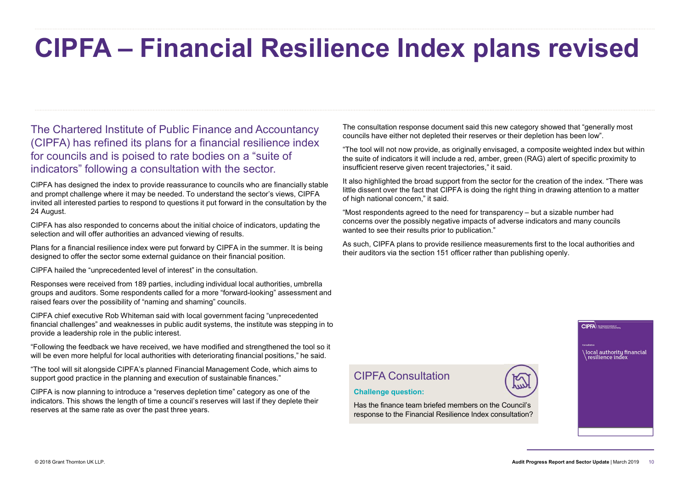# CIPFA – Financial Resilience Index plans revised The consultation response document said this new category showed that "generally most councils have either not depleted their reserves or their depletion has been low". The tool will not now provide, as originally envisage

The Chartered Institute of Public Finance and Accountancy (CIPFA) has refined its plans for a financial resilience index for councils and is poised to rate bodies on a "suite of indicators" following a consultation with the sector.

CIPFA has designed the index to provide reassurance to councils who are financially stable and prompt challenge where it may be needed. To understand the sector's views, CIPFA invited all interested parties to respond to questions it put forward in the consultation by the 24 August.

CIPFA has also responded to concerns about the initial choice of indicators, updating the selection and will offer authorities an advanced viewing of results.

Plans for a financial resilience index were put forward by CIPFA in the summer. It is being designed to offer the sector some external guidance on their financial position.

CIPFA hailed the "unprecedented level of interest" in the consultation.

Responses were received from 189 parties, including individual local authorities, umbrella groups and auditors. Some respondents called for a more "forward-looking" assessment and raised fears over the possibility of "naming and shaming" councils.

CIPFA chief executive Rob Whiteman said with local government facing "unprecedented financial challenges" and weaknesses in public audit systems, the institute was stepping in to provide a leadership role in the public interest.

"Following the feedback we have received, we have modified and strengthened the tool so it will be even more helpful for local authorities with deteriorating financial positions," he said.

"The tool will sit alongside CIPFA's planned Financial Management Code, which aims to CIPFA Consultation support good practice in the planning and execution of sustainable finances."

CIPFA is now planning to introduce a "reserves depletion time" category as one of the indicators. This shows the length of time a council's reserves will last if they deplete their reserves at the same rate as over the past three years.

The consultation response document said this new category showed that "generally most councils have either not depleted their reserves or their depletion has been low".

"The tool will not now provide, as originally envisaged, a composite weighted index but within the suite of indicators it will include a red, amber, green (RAG) alert of specific proximity to insufficient reserve given recent trajectories," it said.

It also highlighted the broad support from the sector for the creation of the index. "There was little dissent over the fact that CIPFA is doing the right thing in drawing attention to a matter of high national concern," it said.

concerns over the possibly negative impacts of adverse indicators and many councils wanted to see their results prior to publication."

As such, CIPFA plans to provide resilience measurements first to the local authorities and their auditors via the section 151 officer rather than publishing openly.

### Challenge question:

CIPFA Consultation<br>
Challenge question:<br>
Has the finance team briefed members on the Council's<br>
response to the Financial Resilience Index consultation?<br>
Audit Progress Report and Sector Update | March 2019 10 Has the finance team briefed members on the Council's response to the Financial Resilience Index consultation?



**CIPFA** 

\local authority financial<br>\resilience index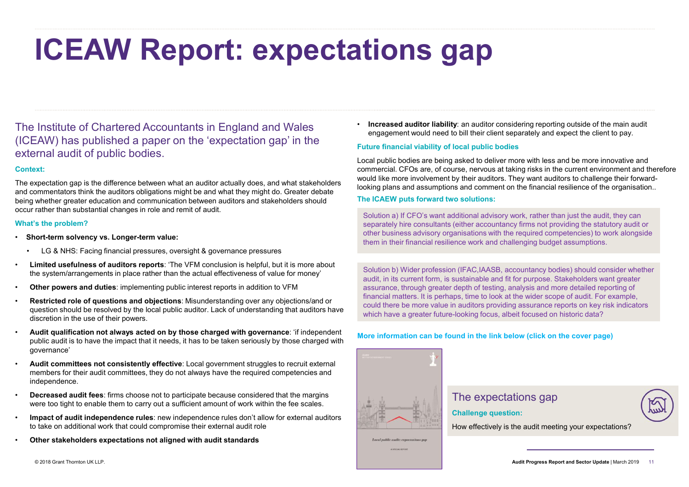# ICEAW Report: expectations gap

The Institute of Chartered Accountants in England and Wales (ICEAW) has published a paper on the 'expectation gap' in the external audit of public bodies. FREAT REPORT: EXPECTATION<br>
The Institute of Chartered Accountants in England and Wales<br>
CICEAW) has published a paper on the 'expectation gap' in the<br>
external audit of public bodies.<br>
Conclusion and communication films be

### Context:

The expectation gap is the difference between what an auditor actually does, and what stakeholders and commentators think the auditors obligations might be and what they might do. Greater debate being whether greater education and communication between auditors and stakeholders should occur rather than substantial changes in role and remit of audit.

### What's the problem?

- Short-term solvency vs. Longer-term value:
	-
- the system/arrangements in place rather than the actual effectiveness of value for money'<br>Other powers and duties: implementing public interest reports in addition to VFM
- 
- Restricted role of questions and objections: Misunderstanding over any objections/and or question should be resolved by the local public auditor. Lack of understanding that auditors have discretion in the use of their powers.
- Audit qualification not always acted on by those charged with governance: 'if independent public audit is to have the impact that it needs, it has to be taken seriously by those charged with governance'
- Audit committees not consistently effective: Local government struggles to recruit external members for their audit committees, they do not always have the required competencies and independence.
- Decreased audit fees: firms choose not to participate because considered that the margins were too tight to enable them to carry out a sufficient amount of work within the fee scales.
- Impact of audit independence rules: new independence rules don't allow for external auditors to take on additional work that could compromise their external audit role
- Other stakeholders expectations not aligned with audit standards

• Increased auditor liability: an auditor considering reporting outside of the main audit engagement would need to bill their client separately and expect the client to pay.

# Future financial viability of local public bodies

Local public bodies are being asked to deliver more with less and be more innovative and commercial. CFOs are, of course, nervous at taking risks in the current environment and therefore would like more involvement by their auditors. They want auditors to challenge their forwardlooking plans and assumptions and comment on the financial resilience of the organisation..

# The ICAEW puts forward two solutions:

Solution a) If CFO's want additional advisory work, rather than just the audit, they can separately hire consultants (either accountancy firms not providing the statutory audit or other business advisory organisations with the required competencies) to work alongside them in their financial resilience work and challenging budget assumptions.

Solution b) Wider profession (IFAC,IAASB, accountancy bodies) should consider whether audit, in its current form, is sustainable and fit for purpose. Stakeholders want greater assurance, through greater depth of testing, analysis and more detailed reporting of financial matters. It is perhaps, time to look at the wider scope of audit. For example, could there be more value in auditors providing assurance reports on key risk indicators which have a greater future-looking focus, albeit focused on historic data?

# More information can be found in the link below (click on the cover page)



# The expectations gap

Challenge question:

How effectively is the audit meeting your expectations?